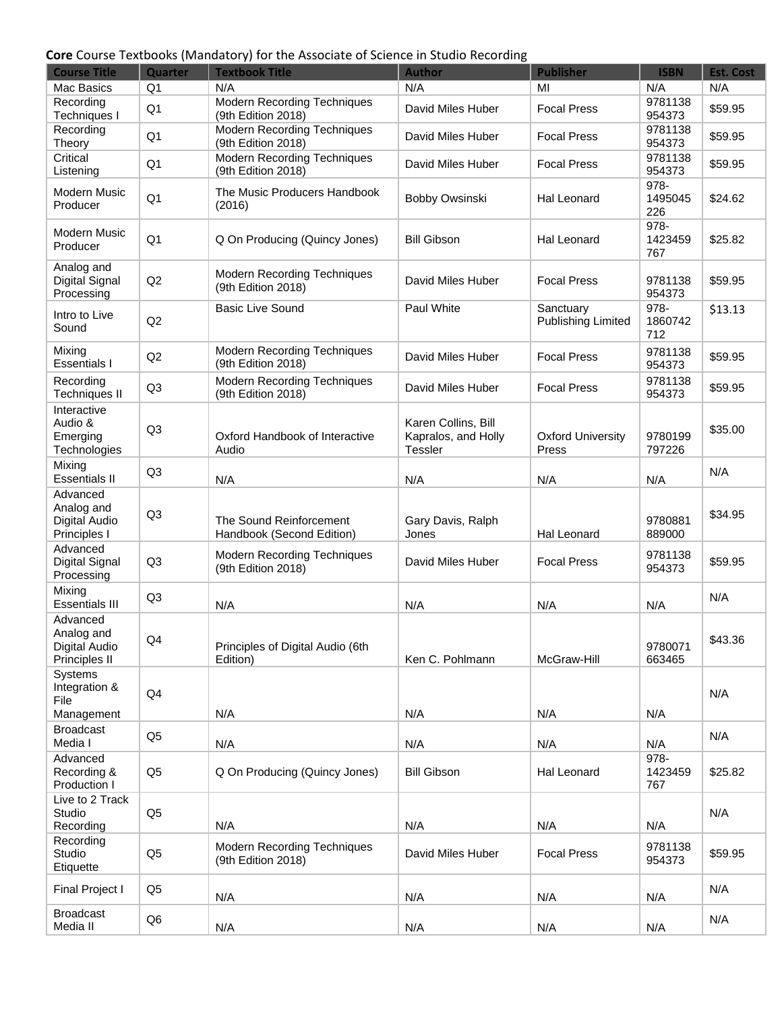#### **Core** Course Textbooks (Mandatory) for the Associate of Science in Studio Recording

| <b>Course Title</b>                                      | Quarter        | <b>Textbook Title</b>                                    | <b>Author</b>                                                | <b>Publisher</b>                  | <b>ISBN</b>               | <b>Est. Cost</b> |
|----------------------------------------------------------|----------------|----------------------------------------------------------|--------------------------------------------------------------|-----------------------------------|---------------------------|------------------|
| Mac Basics                                               | Q <sub>1</sub> | N/A                                                      | N/A                                                          | MI                                | N/A                       | N/A              |
| Recording<br>Techniques I                                | Q <sub>1</sub> | <b>Modern Recording Techniques</b><br>(9th Edition 2018) | David Miles Huber                                            | <b>Focal Press</b>                | 9781138<br>954373         | \$59.95          |
| Recording<br>Theory                                      | Q <sub>1</sub> | <b>Modern Recording Techniques</b><br>(9th Edition 2018) | David Miles Huber                                            | <b>Focal Press</b>                | 9781138<br>954373         | \$59.95          |
| Critical<br>Listening                                    | Q <sub>1</sub> | <b>Modern Recording Techniques</b><br>(9th Edition 2018) | David Miles Huber                                            | <b>Focal Press</b>                | 9781138<br>954373         | \$59.95          |
| Modern Music<br>Producer                                 | Q <sub>1</sub> | The Music Producers Handbook<br>(2016)                   | Bobby Owsinski                                               | <b>Hal Leonard</b>                | 978-<br>1495045<br>226    | \$24.62          |
| <b>Modern Music</b><br>Producer                          | Q <sub>1</sub> | Q On Producing (Quincy Jones)                            | <b>Bill Gibson</b>                                           | Hal Leonard                       | 978-<br>1423459<br>767    | \$25.82          |
| Analog and<br>Digital Signal<br>Processing               | Q2             | Modern Recording Techniques<br>(9th Edition 2018)        | David Miles Huber                                            | <b>Focal Press</b>                | 9781138<br>954373         | \$59.95          |
| Intro to Live<br>Sound                                   | Q2             | <b>Basic Live Sound</b>                                  | Paul White                                                   | Sanctuary<br>Publishing Limited   | 978-<br>1860742<br>712    | \$13.13          |
| Mixing<br><b>Essentials I</b>                            | Q2             | <b>Modern Recording Techniques</b><br>(9th Edition 2018) | David Miles Huber                                            | <b>Focal Press</b>                | 9781138<br>954373         | \$59.95          |
| Recording<br><b>Techniques II</b>                        | Q <sub>3</sub> | <b>Modern Recording Techniques</b><br>(9th Edition 2018) | David Miles Huber                                            | <b>Focal Press</b>                | 9781138<br>954373         | \$59.95          |
| Interactive<br>Audio &<br>Emerging<br>Technologies       | Q <sub>3</sub> | Oxford Handbook of Interactive<br>Audio                  | Karen Collins, Bill<br>Kapralos, and Holly<br><b>Tessler</b> | <b>Oxford University</b><br>Press | 9780199<br>797226         | \$35.00          |
| Mixing<br><b>Essentials II</b>                           | Q <sub>3</sub> | N/A                                                      | N/A                                                          | N/A                               | N/A                       | N/A              |
| Advanced<br>Analog and<br>Digital Audio<br>Principles I  | Q <sub>3</sub> | The Sound Reinforcement<br>Handbook (Second Edition)     | Gary Davis, Ralph<br>Jones                                   | Hal Leonard                       | 9780881<br>889000         | \$34.95          |
| Advanced<br>Digital Signal<br>Processing                 | Q <sub>3</sub> | <b>Modern Recording Techniques</b><br>(9th Edition 2018) | David Miles Huber                                            | <b>Focal Press</b>                | 9781138<br>954373         | \$59.95          |
| Mixing<br><b>Essentials III</b>                          | Q <sub>3</sub> | N/A                                                      | N/A                                                          | N/A                               | N/A                       | N/A              |
| Advanced<br>Analog and<br>Digital Audio<br>Principles II | Q4             | Principles of Digital Audio (6th<br>Edition)             | Ken C. Pohlmann                                              | McGraw-Hill                       | 9780071<br>663465         | \$43.36          |
| Systems<br>Integration &<br>File<br>Management           | Q4             | N/A                                                      | N/A                                                          | N/A                               | N/A                       | N/A              |
| <b>Broadcast</b><br>Media I                              | Q <sub>5</sub> | N/A                                                      | N/A                                                          | N/A                               | N/A                       | N/A              |
| Advanced<br>Recording &<br>Production I                  | Q <sub>5</sub> | Q On Producing (Quincy Jones)                            | <b>Bill Gibson</b>                                           | Hal Leonard                       | $978 -$<br>1423459<br>767 | \$25.82          |
| Live to 2 Track<br>Studio<br>Recording                   | Q <sub>5</sub> | N/A                                                      | N/A                                                          | N/A                               | N/A                       | N/A              |
| Recording<br>Studio<br>Etiquette                         | Q <sub>5</sub> | Modern Recording Techniques<br>(9th Edition 2018)        | David Miles Huber                                            | <b>Focal Press</b>                | 9781138<br>954373         | \$59.95          |
| Final Project I                                          | Q <sub>5</sub> | N/A                                                      | N/A                                                          | N/A                               | N/A                       | N/A              |
| <b>Broadcast</b><br>Media II                             | Q <sub>6</sub> | N/A                                                      | N/A                                                          | N/A                               | N/A                       | N/A              |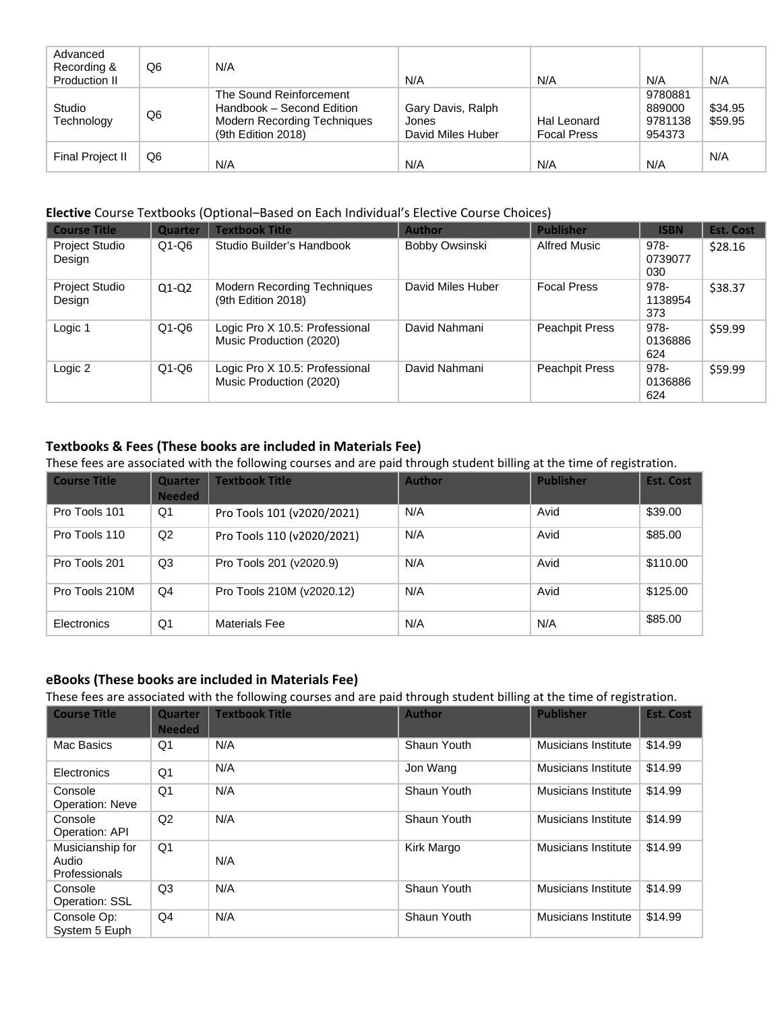| Advanced<br>Recording &<br>Production II | Q6 | N/A                                                                                                              | N/A                                             | N/A                               | N/A                                    | N/A                |
|------------------------------------------|----|------------------------------------------------------------------------------------------------------------------|-------------------------------------------------|-----------------------------------|----------------------------------------|--------------------|
| Studio<br>Technology                     | Q6 | The Sound Reinforcement<br>Handbook – Second Edition<br><b>Modern Recording Techniques</b><br>(9th Edition 2018) | Gary Davis, Ralph<br>Jones<br>David Miles Huber | Hal Leonard<br><b>Focal Press</b> | 9780881<br>889000<br>9781138<br>954373 | \$34.95<br>\$59.95 |
| Final Project II                         | Q6 | N/A                                                                                                              | N/A                                             | N/A                               | N/A                                    | N/A                |

#### **Elective** Course Textbooks (Optional–Based on Each Individual's Elective Course Choices)

| <b>Course Title</b>             | <b>Quarter</b> | <b>Textbook Title</b>                                     | <b>Author</b>     | <b>Publisher</b>      | <b>ISBN</b>            | <b>Est. Cost</b> |
|---------------------------------|----------------|-----------------------------------------------------------|-------------------|-----------------------|------------------------|------------------|
| Project Studio<br>Design        | $Q1-Q6$        | Studio Builder's Handbook                                 | Bobby Owsinski    | Alfred Music          | 978-<br>0739077<br>030 | \$28.16          |
| <b>Project Studio</b><br>Design | $Q1-Q2$        | <b>Modern Recording Techniques</b><br>(9th Edition 2018)  | David Miles Huber | <b>Focal Press</b>    | 978-<br>1138954<br>373 | \$38.37          |
| Logic 1                         | $Q1-Q6$        | Logic Pro X 10.5: Professional<br>Music Production (2020) | David Nahmani     | <b>Peachpit Press</b> | 978-<br>0136886<br>624 | \$59.99          |
| Logic 2                         | $Q1-Q6$        | Logic Pro X 10.5: Professional<br>Music Production (2020) | David Nahmani     | <b>Peachpit Press</b> | 978-<br>0136886<br>624 | \$59.99          |

## **Textbooks & Fees (These books are included in Materials Fee)**

These fees are associated with the following courses and are paid through student billing at the time of registration.

| <b>Course Title</b> | Quarter<br><b>Needed</b> | <b>Textbook Title</b>      | <b>Author</b> | <b>Publisher</b> | <b>Est. Cost</b> |
|---------------------|--------------------------|----------------------------|---------------|------------------|------------------|
| Pro Tools 101       | Q1                       | Pro Tools 101 (v2020/2021) | N/A           | Avid             | \$39.00          |
| Pro Tools 110       | Q2                       | Pro Tools 110 (v2020/2021) | N/A           | Avid             | \$85.00          |
| Pro Tools 201       | Q3                       | Pro Tools 201 (v2020.9)    | N/A           | Avid             | \$110.00         |
| Pro Tools 210M      | Q4                       | Pro Tools 210M (v2020.12)  | N/A           | Avid             | \$125.00         |
| Electronics         | Q1                       | Materials Fee              | N/A           | N/A              | \$85.00          |

### **eBooks (These books are included in Materials Fee)**

These fees are associated with the following courses and are paid through student billing at the time of registration.

| <b>Course Title</b>                        | <b>Quarter</b><br><b>Needed</b> | <b>Textbook Title</b> | <b>Author</b> | <b>Publisher</b>    | <b>Est. Cost</b> |
|--------------------------------------------|---------------------------------|-----------------------|---------------|---------------------|------------------|
| Mac Basics                                 | Q1                              | N/A                   | Shaun Youth   | Musicians Institute | \$14.99          |
| Electronics                                | Q <sub>1</sub>                  | N/A                   | Jon Wang      | Musicians Institute | \$14.99          |
| Console<br><b>Operation: Neve</b>          | Q1                              | N/A                   | Shaun Youth   | Musicians Institute | \$14.99          |
| Console<br>Operation: API                  | Q2                              | N/A                   | Shaun Youth   | Musicians Institute | \$14.99          |
| Musicianship for<br>Audio<br>Professionals | Q <sub>1</sub>                  | N/A                   | Kirk Margo    | Musicians Institute | \$14.99          |
| Console<br>Operation: SSL                  | Q <sub>3</sub>                  | N/A                   | Shaun Youth   | Musicians Institute | \$14.99          |
| Console Op:<br>System 5 Euph               | Q4                              | N/A                   | Shaun Youth   | Musicians Institute | \$14.99          |